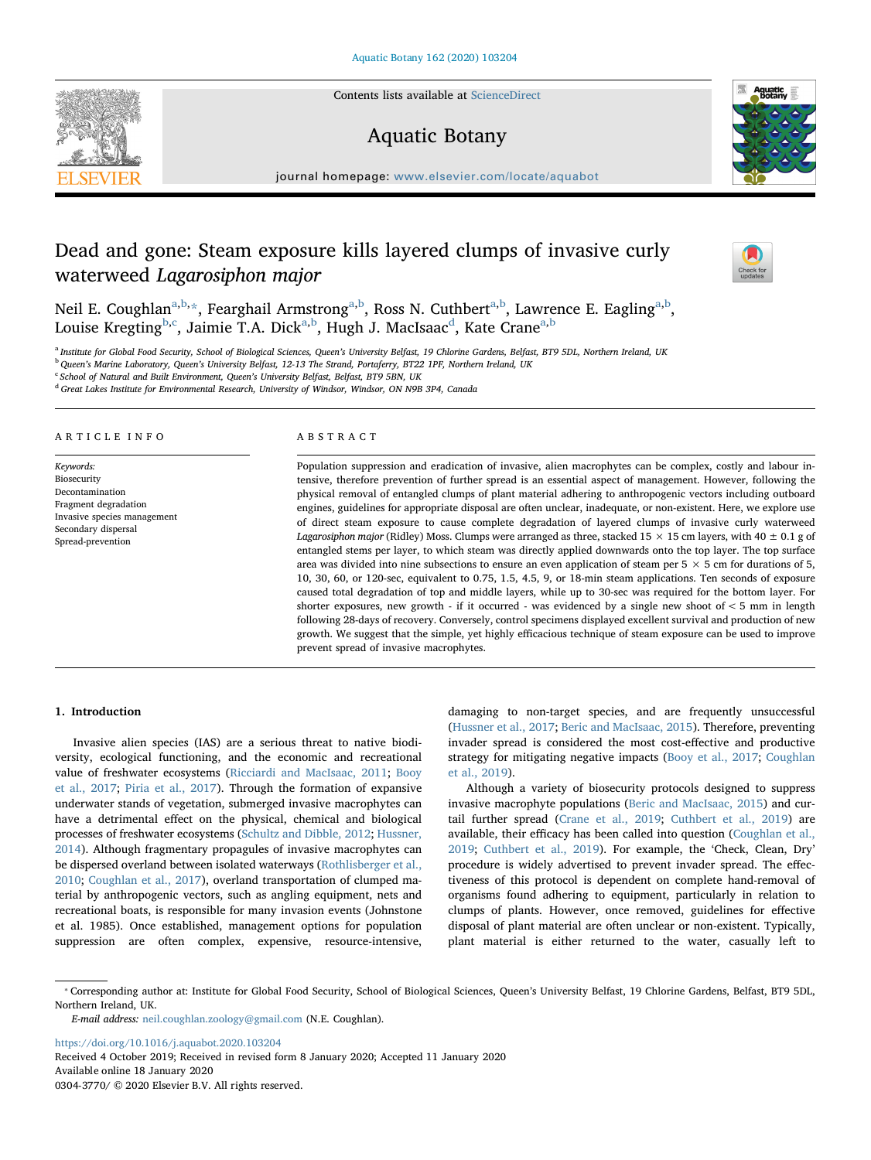Contents lists available at [ScienceDirect](http://www.sciencedirect.com/science/journal/03043770)



Aquatic Botany

journal homepage: [www.elsevier.com/locate/aquabot](https://www.elsevier.com/locate/aquabot)

# Dead and gone: Steam exposure kills layered clumps of invasive curly waterweed Lagarosiphon major



Neil E. Coughl[a](#page-0-0)n<sup>a,[b](#page-0-1),</sup>[\\*](#page-0-2), Fearghail Armstrong<sup>[a,](#page-0-0)b</sup>, Ross N. Cuthbert<sup>a,b</sup>, Lawrence E. Eagling<sup>a,b</sup>, Louise Kregting<sup>[b](#page-0-1),[c](#page-0-3)</sup>, J[a](#page-0-0)imie T.A. Dick<sup>a,b</sup>, Hugh J. MacIsaac<sup>[d](#page-0-4)</sup>, Kate Crane<sup>[a,](#page-0-0)b</sup>

<span id="page-0-0"></span>a Institute for Global Food Security, School of Biological Sciences, Queen's University Belfast, 19 Chlorine Gardens, Belfast, BT9 5DL, Northern Ireland, UK

<span id="page-0-1"></span><sup>b</sup> Queen's Marine Laboratory, Queen's University Belfast, 12-13 The Strand, Portaferry, BT22 1PF, Northern Ireland, UK

<span id="page-0-3"></span><sup>c</sup> School of Natural and Built Environment, Queen's University Belfast, Belfast, BT9 5BN, UK

<span id="page-0-4"></span><sup>d</sup> Great Lakes Institute for Environmental Research, University of Windsor, Windsor, ON N9B 3P4, Canada

# ARTICLE INFO

Keywords: Biosecurity Decontamination Fragment degradation Invasive species management Secondary dispersal Spread-prevention

# ABSTRACT

Population suppression and eradication of invasive, alien macrophytes can be complex, costly and labour intensive, therefore prevention of further spread is an essential aspect of management. However, following the physical removal of entangled clumps of plant material adhering to anthropogenic vectors including outboard engines, guidelines for appropriate disposal are often unclear, inadequate, or non-existent. Here, we explore use of direct steam exposure to cause complete degradation of layered clumps of invasive curly waterweed Lagarosiphon major (Ridley) Moss. Clumps were arranged as three, stacked 15  $\times$  15 cm layers, with 40  $\pm$  0.1 g of entangled stems per layer, to which steam was directly applied downwards onto the top layer. The top surface area was divided into nine subsections to ensure an even application of steam per  $5 \times 5$  cm for durations of 5, 10, 30, 60, or 120-sec, equivalent to 0.75, 1.5, 4.5, 9, or 18-min steam applications. Ten seconds of exposure caused total degradation of top and middle layers, while up to 30-sec was required for the bottom layer. For shorter exposures, new growth - if it occurred - was evidenced by a single new shoot of  $<$  5 mm in length following 28-days of recovery. Conversely, control specimens displayed excellent survival and production of new growth. We suggest that the simple, yet highly efficacious technique of steam exposure can be used to improve prevent spread of invasive macrophytes.

# 1. Introduction

Invasive alien species (IAS) are a serious threat to native biodiversity, ecological functioning, and the economic and recreational value of freshwater ecosystems [\(Ricciardi and MacIsaac, 2011](#page-3-0); [Booy](#page-3-1) [et al., 2017;](#page-3-1) [Piria et al., 2017](#page-3-2)). Through the formation of expansive underwater stands of vegetation, submerged invasive macrophytes can have a detrimental effect on the physical, chemical and biological processes of freshwater ecosystems [\(Schultz and Dibble, 2012;](#page-3-3) [Hussner,](#page-3-4) [2014\)](#page-3-4). Although fragmentary propagules of invasive macrophytes can be dispersed overland between isolated waterways ([Rothlisberger et al.,](#page-3-5) [2010;](#page-3-5) [Coughlan et al., 2017\)](#page-3-6), overland transportation of clumped material by anthropogenic vectors, such as angling equipment, nets and recreational boats, is responsible for many invasion events (Johnstone et al. 1985). Once established, management options for population suppression are often complex, expensive, resource-intensive,

damaging to non-target species, and are frequently unsuccessful ([Hussner et al., 2017;](#page-3-7) [Beric and MacIsaac, 2015\)](#page-3-8). Therefore, preventing invader spread is considered the most cost-effective and productive strategy for mitigating negative impacts ([Booy et al., 2017;](#page-3-1) [Coughlan](#page-3-9) [et al., 2019](#page-3-9)).

Although a variety of biosecurity protocols designed to suppress invasive macrophyte populations [\(Beric and MacIsaac, 2015](#page-3-8)) and curtail further spread ([Crane et al., 2019](#page-3-10); [Cuthbert et al., 2019](#page-3-11)) are available, their efficacy has been called into question ([Coughlan et al.,](#page-3-9) [2019;](#page-3-9) [Cuthbert et al., 2019\)](#page-3-11). For example, the 'Check, Clean, Dry' procedure is widely advertised to prevent invader spread. The effectiveness of this protocol is dependent on complete hand-removal of organisms found adhering to equipment, particularly in relation to clumps of plants. However, once removed, guidelines for effective disposal of plant material are often unclear or non-existent. Typically, plant material is either returned to the water, casually left to

E-mail address: [neil.coughlan.zoology@gmail.com](mailto:neil.coughlan.zoology@gmail.com) (N.E. Coughlan).

<https://doi.org/10.1016/j.aquabot.2020.103204>

Received 4 October 2019; Received in revised form 8 January 2020; Accepted 11 January 2020 Available online 18 January 2020

0304-3770/ © 2020 Elsevier B.V. All rights reserved.

<span id="page-0-2"></span><sup>⁎</sup> Corresponding author at: Institute for Global Food Security, School of Biological Sciences, Queen's University Belfast, 19 Chlorine Gardens, Belfast, BT9 5DL, Northern Ireland, UK.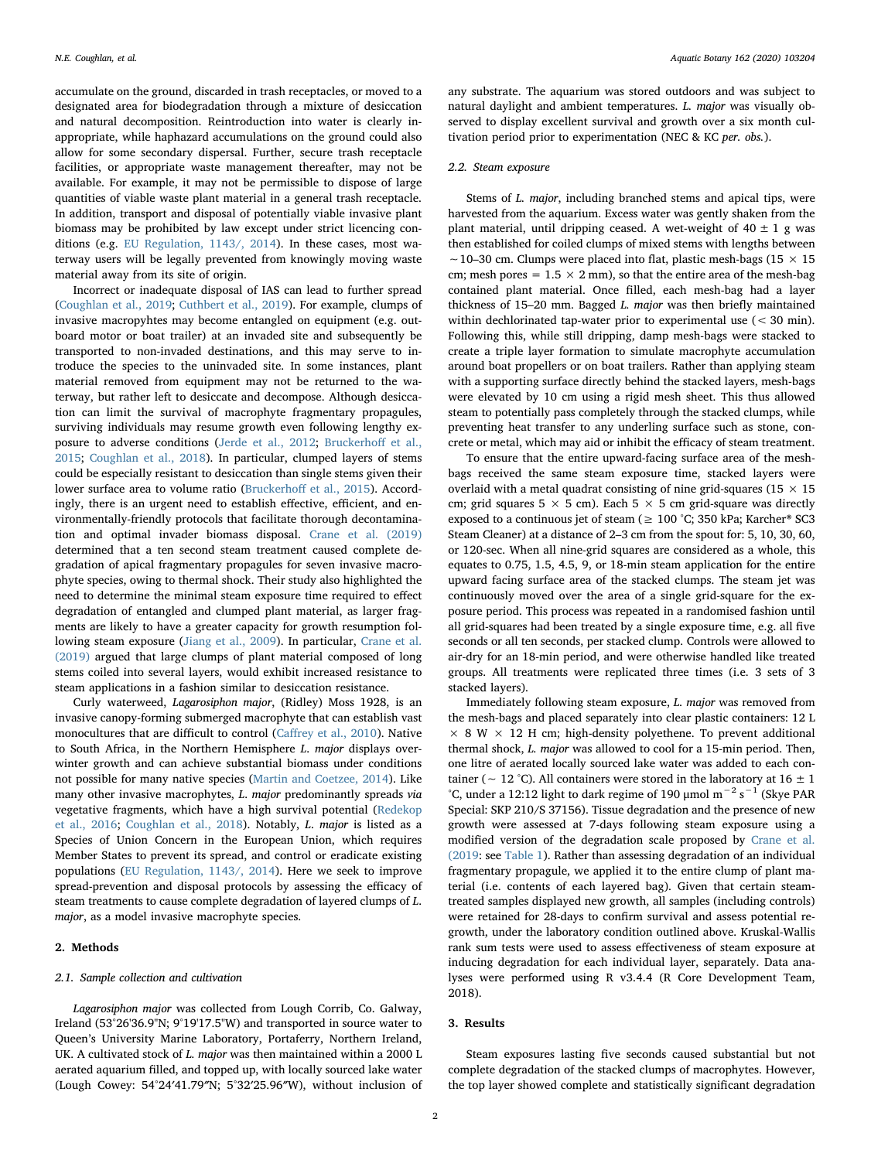accumulate on the ground, discarded in trash receptacles, or moved to a designated area for biodegradation through a mixture of desiccation and natural decomposition. Reintroduction into water is clearly inappropriate, while haphazard accumulations on the ground could also allow for some secondary dispersal. Further, secure trash receptacle facilities, or appropriate waste management thereafter, may not be available. For example, it may not be permissible to dispose of large quantities of viable waste plant material in a general trash receptacle. In addition, transport and disposal of potentially viable invasive plant biomass may be prohibited by law except under strict licencing conditions (e.g. [EU Regulation, 1143/, 2014\)](#page-3-12). In these cases, most waterway users will be legally prevented from knowingly moving waste material away from its site of origin.

Incorrect or inadequate disposal of IAS can lead to further spread ([Coughlan et al., 2019;](#page-3-9) [Cuthbert et al., 2019](#page-3-11)). For example, clumps of invasive macropyhtes may become entangled on equipment (e.g. outboard motor or boat trailer) at an invaded site and subsequently be transported to non-invaded destinations, and this may serve to introduce the species to the uninvaded site. In some instances, plant material removed from equipment may not be returned to the waterway, but rather left to desiccate and decompose. Although desiccation can limit the survival of macrophyte fragmentary propagules, surviving individuals may resume growth even following lengthy exposure to adverse conditions ([Jerde et al., 2012;](#page-3-13) [Bruckerho](#page-3-14)ff et al., [2015;](#page-3-14) [Coughlan et al., 2018\)](#page-3-15). In particular, clumped layers of stems could be especially resistant to desiccation than single stems given their lower surface area to volume ratio (Bruckerhoff [et al., 2015](#page-3-14)). Accordingly, there is an urgent need to establish effective, efficient, and environmentally-friendly protocols that facilitate thorough decontamination and optimal invader biomass disposal. [Crane et al. \(2019\)](#page-3-10) determined that a ten second steam treatment caused complete degradation of apical fragmentary propagules for seven invasive macrophyte species, owing to thermal shock. Their study also highlighted the need to determine the minimal steam exposure time required to effect degradation of entangled and clumped plant material, as larger fragments are likely to have a greater capacity for growth resumption following steam exposure ([Jiang et al., 2009\)](#page-3-16). In particular, [Crane et al.](#page-3-10) [\(2019\)](#page-3-10) argued that large clumps of plant material composed of long stems coiled into several layers, would exhibit increased resistance to steam applications in a fashion similar to desiccation resistance.

Curly waterweed, Lagarosiphon major, (Ridley) Moss 1928, is an invasive canopy-forming submerged macrophyte that can establish vast monocultures that are difficult to control (Caff[rey et al., 2010\)](#page-3-17). Native to South Africa, in the Northern Hemisphere L. major displays overwinter growth and can achieve substantial biomass under conditions not possible for many native species [\(Martin and Coetzee, 2014\)](#page-3-18). Like many other invasive macrophytes, L. major predominantly spreads via vegetative fragments, which have a high survival potential [\(Redekop](#page-3-19) [et al., 2016](#page-3-19); [Coughlan et al., 2018](#page-3-15)). Notably, L. major is listed as a Species of Union Concern in the European Union, which requires Member States to prevent its spread, and control or eradicate existing populations [\(EU Regulation, 1143/, 2014](#page-3-12)). Here we seek to improve spread-prevention and disposal protocols by assessing the efficacy of steam treatments to cause complete degradation of layered clumps of L. major, as a model invasive macrophyte species.

### 2. Methods

# 2.1. Sample collection and cultivation

Lagarosiphon major was collected from Lough Corrib, Co. Galway, Ireland (53°26'36.9"N; 9°19'17.5"W) and transported in source water to Queen's University Marine Laboratory, Portaferry, Northern Ireland, UK. A cultivated stock of L. major was then maintained within a 2000 L aerated aquarium filled, and topped up, with locally sourced lake water (Lough Cowey: 54°24′41.79″N; 5°32′25.96″W), without inclusion of any substrate. The aquarium was stored outdoors and was subject to natural daylight and ambient temperatures. L. major was visually observed to display excellent survival and growth over a six month cultivation period prior to experimentation (NEC & KC per. obs.).

#### 2.2. Steam exposure

Stems of L. major, including branched stems and apical tips, were harvested from the aquarium. Excess water was gently shaken from the plant material, until dripping ceased. A wet-weight of  $40 \pm 1$  g was then established for coiled clumps of mixed stems with lengths between  $~\sim$ 10–30 cm. Clumps were placed into flat, plastic mesh-bags (15  $\times$  15 cm; mesh pores =  $1.5 \times 2$  mm), so that the entire area of the mesh-bag contained plant material. Once filled, each mesh-bag had a layer thickness of 15–20 mm. Bagged L. major was then briefly maintained within dechlorinated tap-water prior to experimental use (< 30 min). Following this, while still dripping, damp mesh-bags were stacked to create a triple layer formation to simulate macrophyte accumulation around boat propellers or on boat trailers. Rather than applying steam with a supporting surface directly behind the stacked layers, mesh-bags were elevated by 10 cm using a rigid mesh sheet. This thus allowed steam to potentially pass completely through the stacked clumps, while preventing heat transfer to any underling surface such as stone, concrete or metal, which may aid or inhibit the efficacy of steam treatment.

To ensure that the entire upward-facing surface area of the meshbags received the same steam exposure time, stacked layers were overlaid with a metal quadrat consisting of nine grid-squares (15  $\times$  15 cm; grid squares 5  $\times$  5 cm). Each 5  $\times$  5 cm grid-square was directly exposed to a continuous jet of steam (≥ 100 °C; 350 kPa; Karcher® SC3 Steam Cleaner) at a distance of 2–3 cm from the spout for: 5, 10, 30, 60, or 120-sec. When all nine-grid squares are considered as a whole, this equates to 0.75, 1.5, 4.5, 9, or 18-min steam application for the entire upward facing surface area of the stacked clumps. The steam jet was continuously moved over the area of a single grid-square for the exposure period. This process was repeated in a randomised fashion until all grid-squares had been treated by a single exposure time, e.g. all five seconds or all ten seconds, per stacked clump. Controls were allowed to air-dry for an 18-min period, and were otherwise handled like treated groups. All treatments were replicated three times (i.e. 3 sets of 3 stacked layers).

Immediately following steam exposure, L. major was removed from the mesh-bags and placed separately into clear plastic containers: 12 L  $\times$  8 W  $\times$  12 H cm; high-density polyethene. To prevent additional thermal shock, L. major was allowed to cool for a 15-min period. Then, one litre of aerated locally sourced lake water was added to each container (∼ 12 °C). All containers were stored in the laboratory at 16 ± 1 °C, under a 12:12 light to dark regime of 190 µmol m<sup>-2</sup> s<sup>-1</sup> (Skye PAR Special: SKP 210/S 37156). Tissue degradation and the presence of new growth were assessed at 7-days following steam exposure using a modified version of the degradation scale proposed by [Crane et al.](#page-3-10) [\(2019:](#page-3-10) see [Table 1\)](#page-2-0). Rather than assessing degradation of an individual fragmentary propagule, we applied it to the entire clump of plant material (i.e. contents of each layered bag). Given that certain steamtreated samples displayed new growth, all samples (including controls) were retained for 28-days to confirm survival and assess potential regrowth, under the laboratory condition outlined above. Kruskal-Wallis rank sum tests were used to assess effectiveness of steam exposure at inducing degradation for each individual layer, separately. Data analyses were performed using R v3.4.4 (R Core Development Team, 2018).

#### 3. Results

Steam exposures lasting five seconds caused substantial but not complete degradation of the stacked clumps of macrophytes. However, the top layer showed complete and statistically significant degradation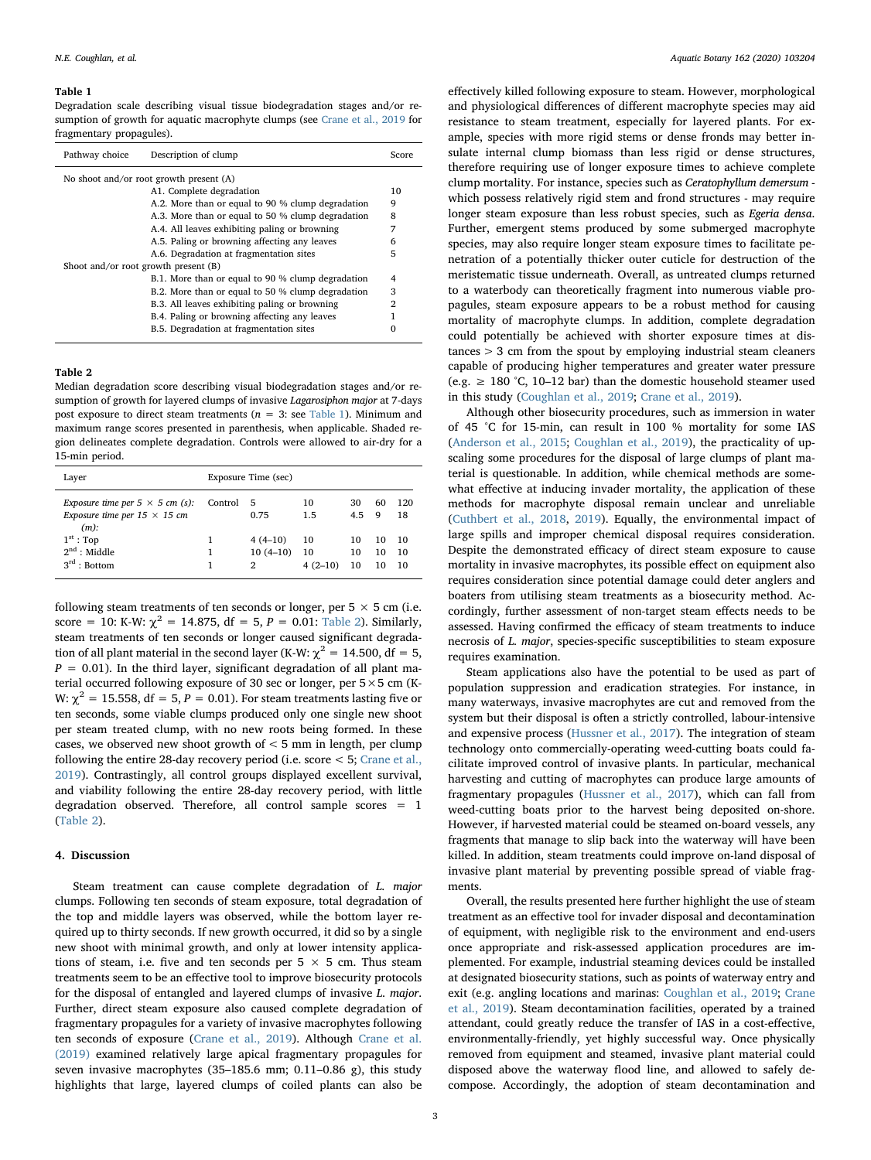#### <span id="page-2-0"></span>Table 1

Degradation scale describing visual tissue biodegradation stages and/or resumption of growth for aquatic macrophyte clumps (see [Crane et al., 2019](#page-3-10) for fragmentary propagules).

| Pathway choice                          | Description of clump                              | Score |  |  |  |  |
|-----------------------------------------|---------------------------------------------------|-------|--|--|--|--|
| No shoot and/or root growth present (A) |                                                   |       |  |  |  |  |
|                                         | A1. Complete degradation                          | 10    |  |  |  |  |
|                                         | A.2. More than or equal to 90 % clump degradation | 9     |  |  |  |  |
|                                         | A.3. More than or equal to 50 % clump degradation | 8     |  |  |  |  |
|                                         | A.4. All leaves exhibiting paling or browning     | 7     |  |  |  |  |
|                                         | A.5. Paling or browning affecting any leaves      | 6     |  |  |  |  |
|                                         | A.6. Degradation at fragmentation sites           | 5     |  |  |  |  |
| Shoot and/or root growth present (B)    |                                                   |       |  |  |  |  |
|                                         | B.1. More than or equal to 90 % clump degradation | 4     |  |  |  |  |
|                                         | B.2. More than or equal to 50 % clump degradation | 3     |  |  |  |  |
|                                         | B.3. All leaves exhibiting paling or browning     | 2     |  |  |  |  |
|                                         | B.4. Paling or browning affecting any leaves      | 1     |  |  |  |  |
|                                         | B.5. Degradation at fragmentation sites           | 0     |  |  |  |  |
|                                         |                                                   |       |  |  |  |  |

# <span id="page-2-1"></span>Table 2

Median degradation score describing visual biodegradation stages and/or resumption of growth for layered clumps of invasive Lagarosiphon major at 7-days post exposure to direct steam treatments ( $n = 3$ : see [Table 1](#page-2-0)). Minimum and maximum range scores presented in parenthesis, when applicable. Shaded region delineates complete degradation. Controls were allowed to air-dry for a 15-min period.

| Layer                                                                         | Exposure Time (sec) |            |           |           |         |           |
|-------------------------------------------------------------------------------|---------------------|------------|-----------|-----------|---------|-----------|
| Exposure time per $5 \times 5$ cm (s):<br>Exposure time per $15 \times 15$ cm | Control             | 5<br>0.75  | 10<br>1.5 | 30<br>4.5 | 60<br>9 | 120<br>18 |
| $(m)$ :                                                                       |                     |            |           |           |         |           |
| $1st$ : Top                                                                   |                     | $4(4-10)$  | 10        | 10        | 10      | -10       |
| $2nd$ : Middle                                                                | 1                   | $10(4-10)$ | 10        | 10        | 10      | 10        |
| $3^{rd}$ : Bottom                                                             | 1                   | 2          | $4(2-10)$ | 10        | 10      | 10        |

following steam treatments of ten seconds or longer, per  $5 \times 5$  cm (i.e. score = 10: K-W:  $\chi^2$  = 14.875, df = 5, P = 0.01: [Table 2\)](#page-2-1). Similarly, steam treatments of ten seconds or longer caused significant degradation of all plant material in the second layer (K-W:  $\gamma^2 = 14.500$ , df = 5,  $P = 0.01$ ). In the third layer, significant degradation of all plant material occurred following exposure of 30 sec or longer, per  $5 \times 5$  cm (K-W:  $\chi^2$  = 15.558, df = 5, P = 0.01). For steam treatments lasting five or ten seconds, some viable clumps produced only one single new shoot per steam treated clump, with no new roots being formed. In these cases, we observed new shoot growth of  $<$  5 mm in length, per clump following the entire 28-day recovery period (i.e. score < 5; [Crane et al.,](#page-3-10) [2019\)](#page-3-10). Contrastingly, all control groups displayed excellent survival, and viability following the entire 28-day recovery period, with little degradation observed. Therefore, all control sample scores = 1 ([Table 2](#page-2-1)).

# 4. Discussion

Steam treatment can cause complete degradation of L. major clumps. Following ten seconds of steam exposure, total degradation of the top and middle layers was observed, while the bottom layer required up to thirty seconds. If new growth occurred, it did so by a single new shoot with minimal growth, and only at lower intensity applications of steam, i.e. five and ten seconds per  $5 \times 5$  cm. Thus steam treatments seem to be an effective tool to improve biosecurity protocols for the disposal of entangled and layered clumps of invasive L. major. Further, direct steam exposure also caused complete degradation of fragmentary propagules for a variety of invasive macrophytes following ten seconds of exposure ([Crane et al., 2019\)](#page-3-10). Although [Crane et al.](#page-3-10) [\(2019\)](#page-3-10) examined relatively large apical fragmentary propagules for seven invasive macrophytes (35–185.6 mm; 0.11–0.86 g), this study highlights that large, layered clumps of coiled plants can also be

effectively killed following exposure to steam. However, morphological and physiological differences of different macrophyte species may aid resistance to steam treatment, especially for layered plants. For example, species with more rigid stems or dense fronds may better insulate internal clump biomass than less rigid or dense structures, therefore requiring use of longer exposure times to achieve complete clump mortality. For instance, species such as Ceratophyllum demersum which possess relatively rigid stem and frond structures - may require longer steam exposure than less robust species, such as Egeria densa. Further, emergent stems produced by some submerged macrophyte species, may also require longer steam exposure times to facilitate penetration of a potentially thicker outer cuticle for destruction of the meristematic tissue underneath. Overall, as untreated clumps returned to a waterbody can theoretically fragment into numerous viable propagules, steam exposure appears to be a robust method for causing mortality of macrophyte clumps. In addition, complete degradation could potentially be achieved with shorter exposure times at distances > 3 cm from the spout by employing industrial steam cleaners capable of producing higher temperatures and greater water pressure (e.g.  $\geq$  180 °C, 10–12 bar) than the domestic household steamer used in this study [\(Coughlan et al., 2019](#page-3-9); [Crane et al., 2019](#page-3-10)).

Although other biosecurity procedures, such as immersion in water of 45 °C for 15-min, can result in 100 % mortality for some IAS ([Anderson et al., 2015](#page-3-20); [Coughlan et al., 2019\)](#page-3-9), the practicality of upscaling some procedures for the disposal of large clumps of plant material is questionable. In addition, while chemical methods are somewhat effective at inducing invader mortality, the application of these methods for macrophyte disposal remain unclear and unreliable ([Cuthbert et al., 2018](#page-3-21), [2019](#page-3-11)). Equally, the environmental impact of large spills and improper chemical disposal requires consideration. Despite the demonstrated efficacy of direct steam exposure to cause mortality in invasive macrophytes, its possible effect on equipment also requires consideration since potential damage could deter anglers and boaters from utilising steam treatments as a biosecurity method. Accordingly, further assessment of non-target steam effects needs to be assessed. Having confirmed the efficacy of steam treatments to induce necrosis of L. major, species-specific susceptibilities to steam exposure requires examination.

Steam applications also have the potential to be used as part of population suppression and eradication strategies. For instance, in many waterways, invasive macrophytes are cut and removed from the system but their disposal is often a strictly controlled, labour-intensive and expensive process ([Hussner et al., 2017](#page-3-7)). The integration of steam technology onto commercially-operating weed-cutting boats could facilitate improved control of invasive plants. In particular, mechanical harvesting and cutting of macrophytes can produce large amounts of fragmentary propagules [\(Hussner et al., 2017\)](#page-3-7), which can fall from weed-cutting boats prior to the harvest being deposited on-shore. However, if harvested material could be steamed on-board vessels, any fragments that manage to slip back into the waterway will have been killed. In addition, steam treatments could improve on-land disposal of invasive plant material by preventing possible spread of viable fragments.

Overall, the results presented here further highlight the use of steam treatment as an effective tool for invader disposal and decontamination of equipment, with negligible risk to the environment and end-users once appropriate and risk-assessed application procedures are implemented. For example, industrial steaming devices could be installed at designated biosecurity stations, such as points of waterway entry and exit (e.g. angling locations and marinas: [Coughlan et al., 2019;](#page-3-9) [Crane](#page-3-10) [et al., 2019](#page-3-10)). Steam decontamination facilities, operated by a trained attendant, could greatly reduce the transfer of IAS in a cost-effective, environmentally-friendly, yet highly successful way. Once physically removed from equipment and steamed, invasive plant material could disposed above the waterway flood line, and allowed to safely decompose. Accordingly, the adoption of steam decontamination and